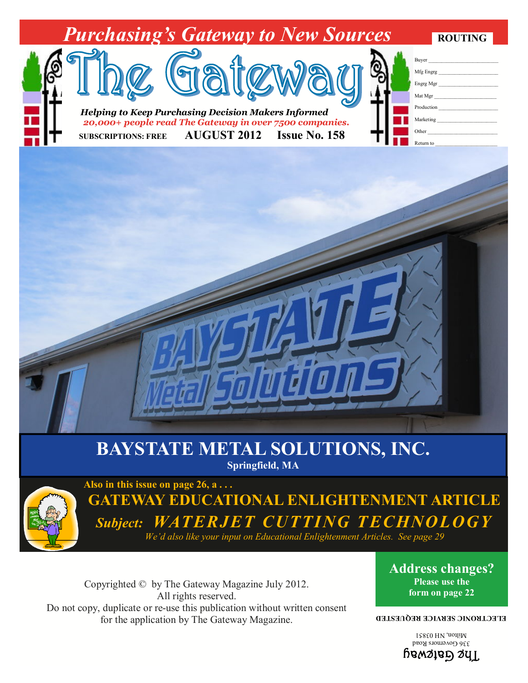

## **BAYSTATE METAL SOLUTIONS, INC. Springfield, MA**



**Also in this issue on page 26, a . . . GATEWAY EDUCATIONAL ENLIGHTENMENT ARTICLE** *Subject: WATERJET CUTTING TECHNOLOGY We'd also like your input on Educational Enlightenment Articles. See page 29* 

Copyrighted © by The Gateway Magazine July 2012. All rights reserved. Do not copy, duplicate or re-use this publication without written consent for the application by The Gateway Magazine.

## **Address changes? Please use the form on page 22**

## **ELECTRONIC SERVICE REQUESTED**

 $\frac{1}{3660}$  HD  $\frac{1}{3660}$  HD  $\frac{1}{3660}$  HD  $\frac{1}{3660}$  $\mu_{\text{S}}$  bewayed Milton, NH 03851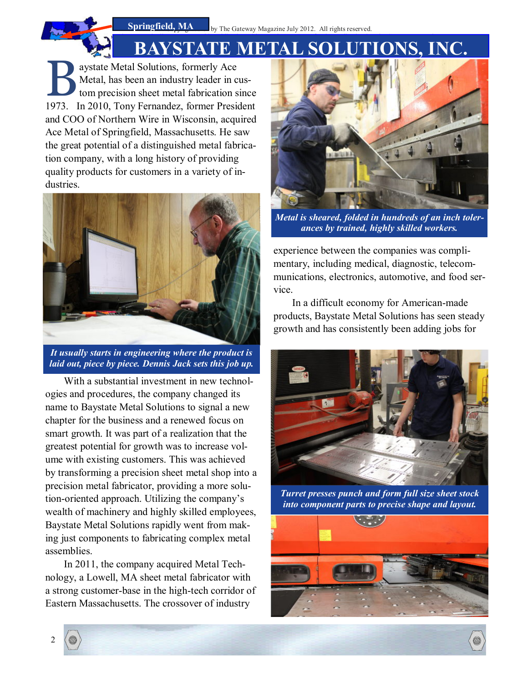

aystate Metal Solutions, formerly Ace<br>Metal, has been an industry leader in cus-<br>tom precision sheet metal fabrication since<br>1973 In 2010, Tony Fernandez, former President Metal, has been an industry leader in custom precision sheet metal fabrication since 1973. In 2010, Tony Fernandez, former President and COO of Northern Wire in Wisconsin, acquired Ace Metal of Springfield, Massachusetts. He saw the great potential of a distinguished metal fabrication company, with a long history of providing quality products for customers in a variety of industries.



*It usually starts in engineering where the product is laid out, piece by piece. Dennis Jack sets this job up.* 

With a substantial investment in new technologies and procedures, the company changed its name to Baystate Metal Solutions to signal a new chapter for the business and a renewed focus on smart growth. It was part of a realization that the greatest potential for growth was to increase volume with existing customers. This was achieved by transforming a precision sheet metal shop into a precision metal fabricator, providing a more solution-oriented approach. Utilizing the company's wealth of machinery and highly skilled employees, Baystate Metal Solutions rapidly went from making just components to fabricating complex metal assemblies.

In 2011, the company acquired Metal Technology, a Lowell, MA sheet metal fabricator with a strong customer-base in the high-tech corridor of Eastern Massachusetts. The crossover of industry



*Metal is sheared, folded in hundreds of an inch tolerances by trained, highly skilled workers.* 

experience between the companies was complimentary, including medical, diagnostic, telecommunications, electronics, automotive, and food service.

In a difficult economy for American-made products, Baystate Metal Solutions has seen steady growth and has consistently been adding jobs for



*Turret presses punch and form full size sheet stock into component parts to precise shape and layout.* 

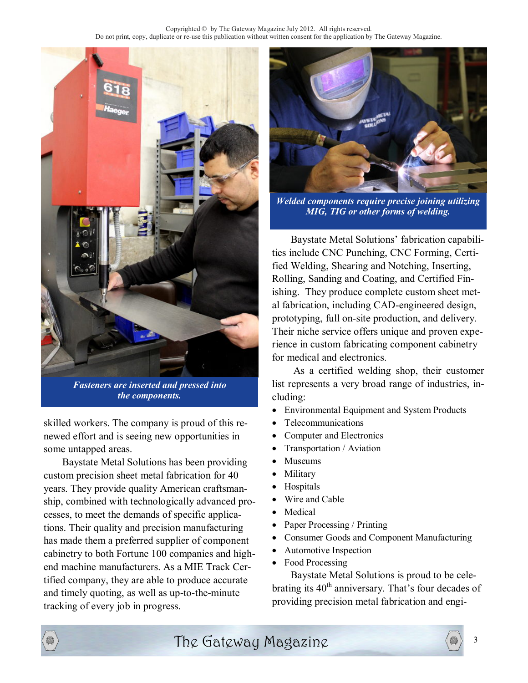

*Fasteners are inserted and pressed into the components.* 

skilled workers. The company is proud of this renewed effort and is seeing new opportunities in some untapped areas.

Baystate Metal Solutions has been providing  $\bullet$ custom precision sheet metal fabrication for 40 years. They provide quality American craftsmanship, combined with technologically advanced processes, to meet the demands of specific applications. Their quality and precision manufacturing has made them a preferred supplier of component cabinetry to both Fortune 100 companies and highend machine manufacturers. As a MIE Track Certified company, they are able to produce accurate and timely quoting, as well as up-to-the-minute tracking of every job in progress.



*Welded components require precise joining utilizing MIG, TIG or other forms of welding.* 

Baystate Metal Solutions' fabrication capabilities include CNC Punching, CNC Forming, Certified Welding, Shearing and Notching, Inserting, Rolling, Sanding and Coating, and Certified Finishing. They produce complete custom sheet metal fabrication, including CAD-engineered design, prototyping, full on-site production, and delivery. Their niche service offers unique and proven experience in custom fabricating component cabinetry for medical and electronics.

 As a certified welding shop, their customer list represents a very broad range of industries, including:

- Environmental Equipment and System Products
- Telecommunications
- Computer and Electronics
- Transportation / Aviation
- Museums
- Military
- Hospitals
- Wire and Cable
- Medical
- Paper Processing / Printing
- Consumer Goods and Component Manufacturing
- Automotive Inspection
- Food Processing

Baystate Metal Solutions is proud to be celebrating its  $40<sup>th</sup>$  anniversary. That's four decades of providing precision metal fabrication and engi-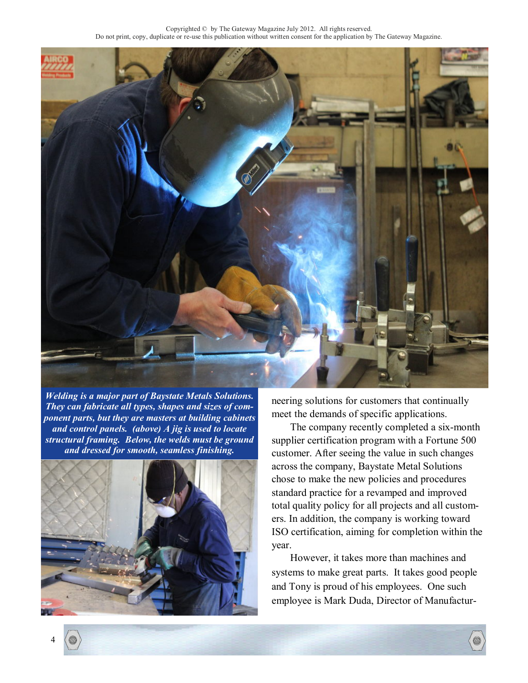

*Welding is a major part of Baystate Metals Solutions. They can fabricate all types, shapes and sizes of component parts, but they are masters at building cabinets and control panels. (above) A jig is used to locate structural framing. Below, the welds must be ground and dressed for smooth, seamless finishing.* 



neering solutions for customers that continually meet the demands of specific applications.

The company recently completed a six-month supplier certification program with a Fortune 500 customer. After seeing the value in such changes across the company, Baystate Metal Solutions chose to make the new policies and procedures standard practice for a revamped and improved total quality policy for all projects and all customers. In addition, the company is working toward ISO certification, aiming for completion within the year.

However, it takes more than machines and systems to make great parts. It takes good people and Tony is proud of his employees. One such employee is Mark Duda, Director of Manufactur-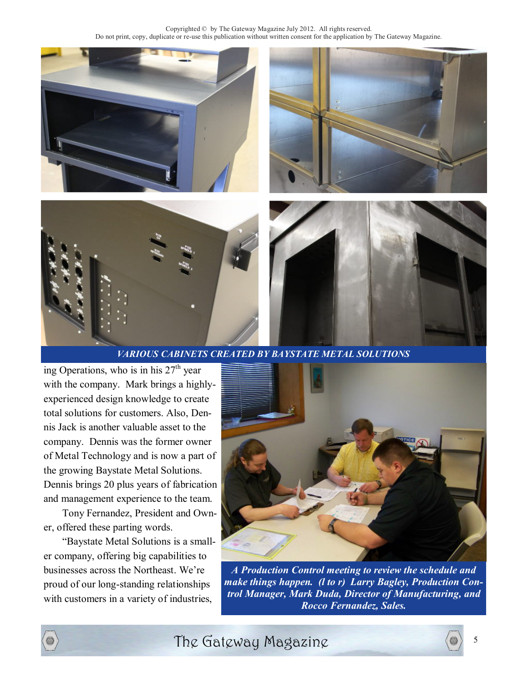

*VARIOUS CABINETS CREATED BY BAYSTATE METAL SOLUTIONS* 

ing Operations, who is in his  $27<sup>th</sup>$  year with the company. Mark brings a highlyexperienced design knowledge to create total solutions for customers. Also, Dennis Jack is another valuable asset to the company. Dennis was the former owner of Metal Technology and is now a part of the growing Baystate Metal Solutions. Dennis brings 20 plus years of fabrication and management experience to the team.

Tony Fernandez, President and Owner, offered these parting words.

"Baystate Metal Solutions is a smaller company, offering big capabilities to businesses across the Northeast. We're proud of our long-standing relationships with customers in a variety of industries,



*A Production Control meeting to review the schedule and make things happen. (l to r) Larry Bagley, Production Control Manager, Mark Duda, Director of Manufacturing, and Rocco Fernandez, Sales.* 



The Gateway Magazine  $\langle \circ \rangle$  5